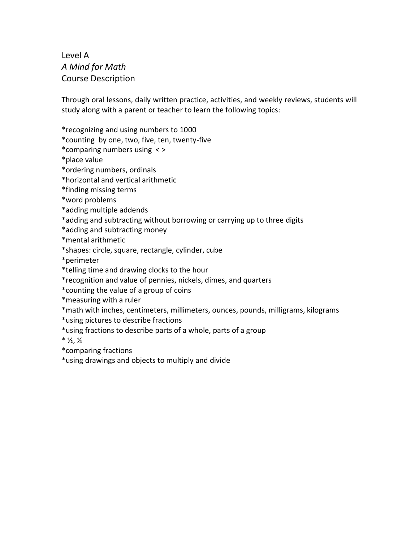Level A *A Mind for Math* Course Description

Through oral lessons, daily written practice, activities, and weekly reviews, students will study along with a parent or teacher to learn the following topics:

\*recognizing and using numbers to 1000

\*counting by one, two, five, ten, twenty-five

\*comparing numbers using < >

\*place value

\*ordering numbers, ordinals

\*horizontal and vertical arithmetic

\*finding missing terms

\*word problems

\*adding multiple addends

\*adding and subtracting without borrowing or carrying up to three digits

\*adding and subtracting money

\*mental arithmetic

\*shapes: circle, square, rectangle, cylinder, cube

\*perimeter

\*telling time and drawing clocks to the hour

\*recognition and value of pennies, nickels, dimes, and quarters

\*counting the value of a group of coins

\*measuring with a ruler

\*math with inches, centimeters, millimeters, ounces, pounds, milligrams, kilograms

\*using pictures to describe fractions

\*using fractions to describe parts of a whole, parts of a group

 $*$   $\frac{1}{2}$ ,  $\frac{1}{4}$ 

\*comparing fractions

\*using drawings and objects to multiply and divide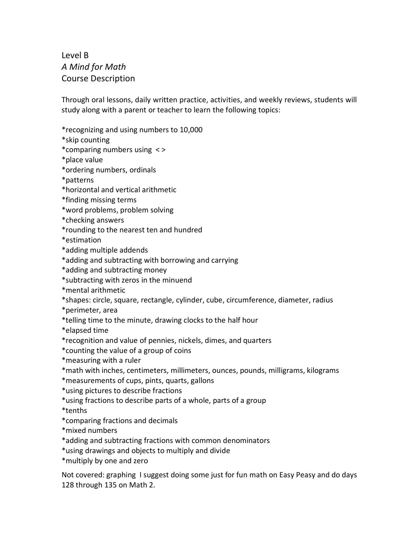## Level B *A Mind for Math* Course Description

Through oral lessons, daily written practice, activities, and weekly reviews, students will study along with a parent or teacher to learn the following topics:

\*recognizing and using numbers to 10,000

\*skip counting

\*comparing numbers using < >

\*place value

\*ordering numbers, ordinals

\*patterns

\*horizontal and vertical arithmetic

\*finding missing terms

\*word problems, problem solving

\*checking answers

\*rounding to the nearest ten and hundred

\*estimation

\*adding multiple addends

\*adding and subtracting with borrowing and carrying

\*adding and subtracting money

\*subtracting with zeros in the minuend

\*mental arithmetic

\*shapes: circle, square, rectangle, cylinder, cube, circumference, diameter, radius

\*perimeter, area

\*telling time to the minute, drawing clocks to the half hour

\*elapsed time

\*recognition and value of pennies, nickels, dimes, and quarters

\*counting the value of a group of coins

\*measuring with a ruler

\*math with inches, centimeters, millimeters, ounces, pounds, milligrams, kilograms

\*measurements of cups, pints, quarts, gallons

\*using pictures to describe fractions

\*using fractions to describe parts of a whole, parts of a group

\*tenths

\*comparing fractions and decimals

\*mixed numbers

\*adding and subtracting fractions with common denominators

\*using drawings and objects to multiply and divide

\*multiply by one and zero

Not covered: graphing I suggest doing some just for fun math on Easy Peasy and do days 128 through 135 on Math 2.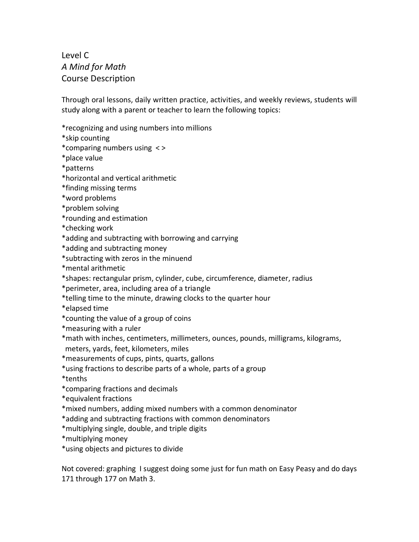Level C *A Mind for Math* Course Description

Through oral lessons, daily written practice, activities, and weekly reviews, students will study along with a parent or teacher to learn the following topics:

\*recognizing and using numbers into millions

\*skip counting

\*comparing numbers using < >

\*place value

\*patterns

\*horizontal and vertical arithmetic

\*finding missing terms

\*word problems

\*problem solving

\*rounding and estimation

\*checking work

\*adding and subtracting with borrowing and carrying

\*adding and subtracting money

\*subtracting with zeros in the minuend

\*mental arithmetic

\*shapes: rectangular prism, cylinder, cube, circumference, diameter, radius

\*perimeter, area, including area of a triangle

\*telling time to the minute, drawing clocks to the quarter hour

\*elapsed time

\*counting the value of a group of coins

\*measuring with a ruler

\*math with inches, centimeters, millimeters, ounces, pounds, milligrams, kilograms, meters, yards, feet, kilometers, miles

\*measurements of cups, pints, quarts, gallons

\*using fractions to describe parts of a whole, parts of a group

\*tenths

\*comparing fractions and decimals

\*equivalent fractions

\*mixed numbers, adding mixed numbers with a common denominator

\*adding and subtracting fractions with common denominators

\*multiplying single, double, and triple digits

\*multiplying money

\*using objects and pictures to divide

Not covered: graphing I suggest doing some just for fun math on Easy Peasy and do days 171 through 177 on Math 3.